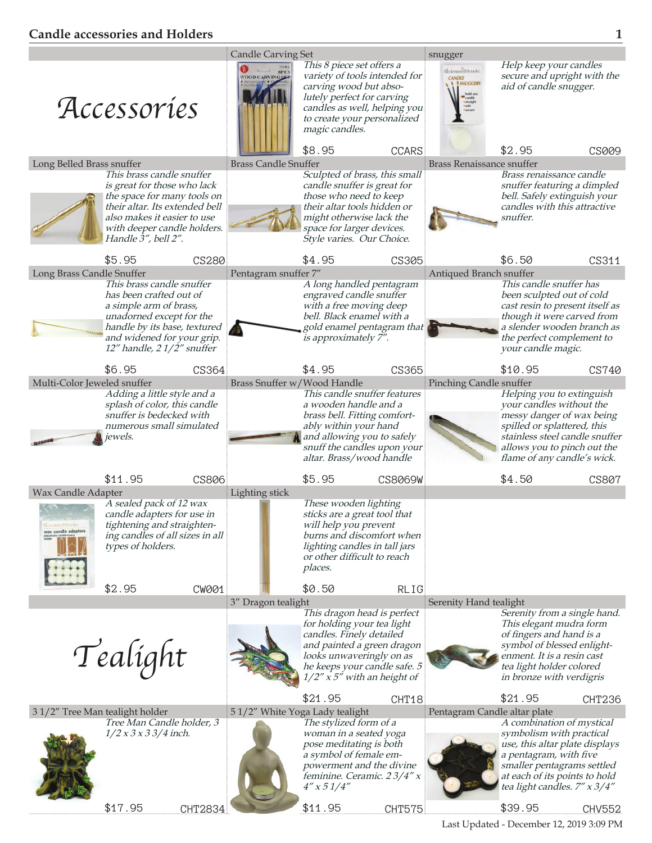## **Candle accessories and Holders 1**

|                                                                                                                                                                                                                    | <b>Candle Carving Set</b>      |                                                                                                                                                                                                                                              |                            |                                                                              | snugger                                                                                                                                                                                                                     |                                |  |  |
|--------------------------------------------------------------------------------------------------------------------------------------------------------------------------------------------------------------------|--------------------------------|----------------------------------------------------------------------------------------------------------------------------------------------------------------------------------------------------------------------------------------------|----------------------------|------------------------------------------------------------------------------|-----------------------------------------------------------------------------------------------------------------------------------------------------------------------------------------------------------------------------|--------------------------------|--|--|
| Accessories                                                                                                                                                                                                        | <b>WOOD CARVINGS</b>           | This 8 piece set offers a<br>variety of tools intended for<br>carving wood but abso-<br>lutely perfect for carving<br>candles as well, helping you<br>to create your personalized<br>magic candles.<br>\$8.95                                | <b>CCARS</b>               | Bedeman@Scrache.<br><b>CANDLE</b><br><b>I SNUGGERS</b><br>hold are<br>candle | Help keep your candles<br>secure and upright with the<br>aid of candle snugger.<br>\$2.95                                                                                                                                   | <b>CS009</b>                   |  |  |
| Long Belled Brass snuffer                                                                                                                                                                                          |                                | <b>Brass Candle Snuffer</b>                                                                                                                                                                                                                  |                            | <b>Brass Renaissance snuffer</b>                                             |                                                                                                                                                                                                                             |                                |  |  |
| This brass candle snuffer<br>is great for those who lack<br>the space for many tools on<br>their altar. Its extended bell<br>also makes it easier to use<br>with deeper candle holders.<br>Handle $3''$ , bell 2". |                                | Sculpted of brass, this small<br>candle snuffer is great for<br>those who need to keep<br>their altar tools hidden or<br>might otherwise lack the<br>space for larger devices.<br>Style varies. Our Choice.                                  |                            |                                                                              | Brass renaissance candle<br>snuffer featuring a dimpled<br>bell. Safely extinguish your<br>candles with this attractive<br>snuffer.                                                                                         |                                |  |  |
| \$5.95<br><b>CS280</b>                                                                                                                                                                                             |                                | \$4.95                                                                                                                                                                                                                                       | <b>CS305</b>               |                                                                              | \$6.50                                                                                                                                                                                                                      | CS311                          |  |  |
| Long Brass Candle Snuffer                                                                                                                                                                                          | Pentagram snuffer 7"           |                                                                                                                                                                                                                                              |                            | Antiqued Branch snuffer                                                      |                                                                                                                                                                                                                             |                                |  |  |
| This brass candle snuffer<br>has been crafted out of<br>a simple arm of brass,<br>unadorned except for the<br>handle by its base, textured<br>and widened for your grip.<br>12" handle, $21/\frac{2}{\pi}$ snuffer |                                | A long handled pentagram<br>engraved candle snuffer<br>with a free moving deep<br>bell. Black enamel with a<br>is approximately 7".                                                                                                          | gold enamel pentagram that |                                                                              | This candle snuffer has<br>been sculpted out of cold<br>cast resin to present itself as<br>though it were carved from<br>a slender wooden branch as<br>the perfect complement to<br>your candle magic.                      |                                |  |  |
| \$6.95<br>CS364                                                                                                                                                                                                    |                                | \$4.95                                                                                                                                                                                                                                       | <b>CS365</b>               |                                                                              | \$10.95                                                                                                                                                                                                                     | CS740                          |  |  |
| Multi-Color Jeweled snuffer<br>Adding a little style and a<br>splash of color, this candle<br>snuffer is bedecked with<br>numerous small simulated<br>jewels.                                                      | Brass Snuffer w/Wood Handle    | This candle snuffer features<br>a wooden handle and a<br>brass bell. Fitting comfort-<br>ably within your hand<br>and allowing you to safely<br>snuff the candles upon your<br>altar. Brass/wood handle                                      |                            | <b>Pinching Candle snuffer</b>                                               | Helping you to extinguish<br>your candles without the<br>messy danger of wax being<br>spilled or splattered, this<br>allows you to pinch out the<br>flame of any candle's wick.                                             | stainless steel candle snuffer |  |  |
| \$11.95<br><b>CS806</b><br><b>Wax Candle Adapter</b>                                                                                                                                                               | Lighting stick                 | \$5.95                                                                                                                                                                                                                                       | <b>CS8069W</b>             |                                                                              | \$4.50                                                                                                                                                                                                                      | <b>CS807</b>                   |  |  |
| A sealed pack of 12 wax<br>candle adapters for use in<br>tightening and straighten-<br>wax candle adapters<br>ing candles of all sizes in all<br>types of holders.                                                 |                                | These wooden lighting<br>sticks are a great tool that<br>will help you prevent<br>burns and discomfort when<br>lighting candles in tall jars<br>or other difficult to reach<br>places.                                                       |                            |                                                                              |                                                                                                                                                                                                                             |                                |  |  |
| \$2.95<br><b>CW001</b>                                                                                                                                                                                             |                                | \$0.50                                                                                                                                                                                                                                       | <b>RLIG</b>                |                                                                              |                                                                                                                                                                                                                             |                                |  |  |
| Tealight                                                                                                                                                                                                           | 3" Dragon tealight             | This dragon head is perfect<br>for holding your tea light<br>candles. Finely detailed<br>and painted a green dragon<br>looks unwaveringly on as<br>he keeps your candle safe. 5<br>$1/2''$ $\bar{x}$ 5 <sup><i>n</i></sup> with an height of |                            | Serenity Hand tealight                                                       | Serenity from a single hand.<br>This elegant mudra form<br>of fingers and hand is a<br>symbol of blessed enlight-<br>enment. It is a resin cast<br>tea light holder colored<br>in bronze with verdigris                     |                                |  |  |
| 31/2" Tree Man tealight holder                                                                                                                                                                                     | 51/2" White Yoga Lady tealight | \$21.95                                                                                                                                                                                                                                      | CHT <sub>18</sub>          | Pentagram Candle altar plate                                                 | \$21.95                                                                                                                                                                                                                     | CHT236                         |  |  |
| Tree Man Candle holder, 3<br>$1/2 x 3 x 3 3/4$ inch.<br>\$17.95<br>CHT2834                                                                                                                                         |                                | The stylized form of a<br>woman in a seated yoga<br>pose meditating is both<br>a symbol of female em-<br>powerment and the divine<br>feminine. Ceramic. 23/4" x<br>$4''$ x 5 $1/4''$<br>\$11.95                                              | <b>CHT575</b>              |                                                                              | A combination of mystical<br>symbolism with practical<br>use, this altar plate displays<br>a pentagram, with five<br>smaller pentagrams settled<br>at each of its points to hold<br>tea light candles. 7" x 3/4"<br>\$39.95 | CHV552                         |  |  |
|                                                                                                                                                                                                                    |                                |                                                                                                                                                                                                                                              |                            |                                                                              |                                                                                                                                                                                                                             |                                |  |  |

Last Updated - December 12, 2019 3:09 PM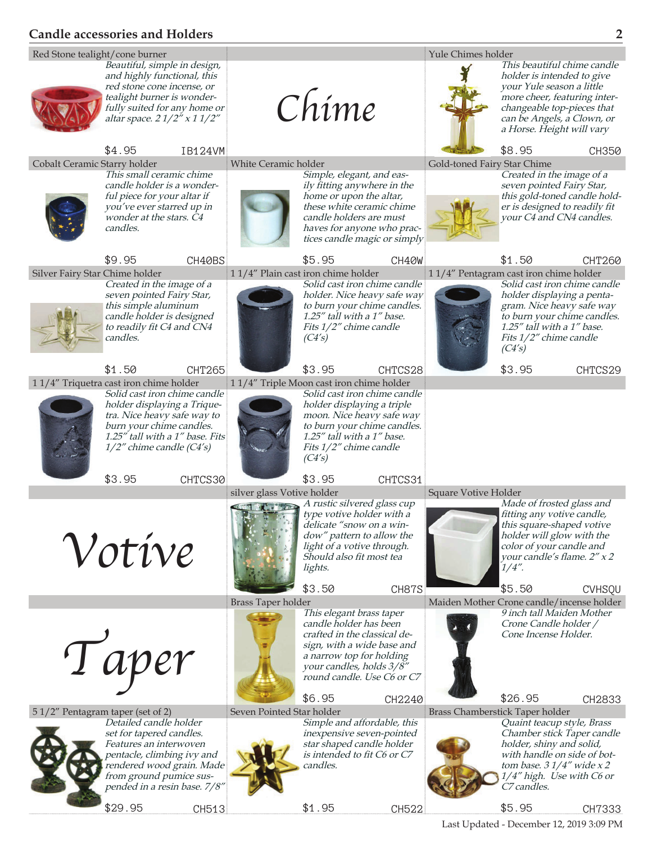## **Candle accessories and Holders 2**



Last Updated - December 12, 2019 3:09 PM